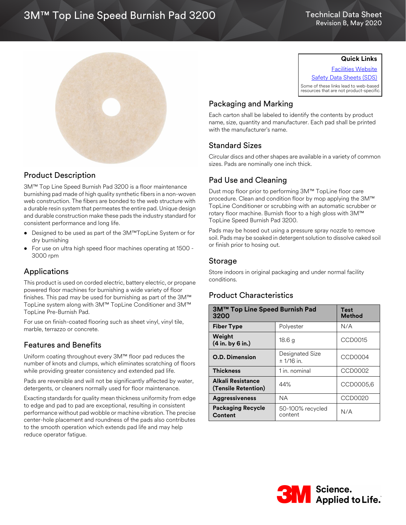# 3M™ Top Line Speed Burnish Pad 3200

### Technical Data Sheet Revision B, May 2020



## Product Description

3M™ Top Line Speed Burnish Pad 3200 is a floor maintenance burnishing pad made of high quality synthetic fibers in a non-woven web construction. The fibers are bonded to the web structure with a durable resin system that permeates the entire pad. Unique design and durable construction make these pads the industry standard for consistent performance and long life.

- Designed to be used as part of the 3M™TopLine System or for dry burnishing
- For use on ultra high speed floor machines operating at 1500 3000 rpm

## Applications

This product is used on corded electric, battery electric, or propane powered floor machines for burnishing a wide variety of floor finishes. This pad may be used for burnishing as part of the 3M™ TopLine system along with 3M™ TopLine Conditioner and 3M™ TopLine Pre-Burnish Pad.

For use on finish-coated flooring such as sheet vinyl, vinyl tile, marble, terrazzo or concrete.

## Features and Benefits

Uniform coating throughout every 3M™ floor pad reduces the number of knots and clumps, which eliminates scratching of floors while providing greater consistency and extended pad life.

Pads are reversible and will not be significantly affected by water, detergents, or cleaners normally used for floor maintenance.

Exacting standards for quality mean thickness uniformity from edge to edge and pad to pad are exceptional, resulting in consistent performance without pad wobble or machine vibration. The precise center-hole placement and roundness of the pads also contributes to the smooth operation which extends pad life and may help reduce operator fatigue.

**Quick Links**

[Facilities Website](www.mmm.com/facilities) [Safety Data Sheets \(SDS\)](https://www.3m.com/3M/en_US/commercial-cleaning-us/resources/sds-finder/) Some of these links lead to web-based resources that are not product-specific.

## Packaging and Marking

Each carton shall be labeled to identify the contents by product name, size, quantity and manufacturer. Each pad shall be printed with the manufacturer's name.

## Standard Sizes

Circular discs and other shapes are available in a variety of common sizes. Pads are nominally one inch thick.

## Pad Use and Cleaning

Dust mop floor prior to performing 3M™ TopLine floor care procedure. Clean and condition floor by mop applying the 3M™ TopLine Conditioner or scrubbing with an automatic scrubber or rotary floor machine. Burnish floor to a high gloss with 3M™ TopLine Speed Burnish Pad 3200.

Pads may be hosed out using a pressure spray nozzle to remove soil. Pads may be soaked in detergent solution to dissolve caked soil or finish prior to hosing out.

### Storage

Store indoors in original packaging and under normal facility conditions.

## Product Characteristics

| 3M™ Top Line Speed Burnish Pad<br>3200   |                                 | Test<br><b>Method</b> |
|------------------------------------------|---------------------------------|-----------------------|
| <b>Fiber Type</b>                        | Polyester                       | N/A                   |
| Weight<br>(4 in. by 6 in.)               | 18.6 g                          | CCD0015               |
| <b>O.D. Dimension</b>                    | Designated Size<br>$± 1/16$ in. | CCD0004               |
| <b>Thickness</b>                         | 1 in. nominal                   | CCD0002               |
| Alkali Resistance<br>(Tensile Retention) | 44%                             | CCD0005,6             |
| <b>Aggressiveness</b>                    | NA.                             | CCD0020               |
| <b>Packaging Recycle</b><br>Content      | 50-100% recycled<br>content     | N/A                   |